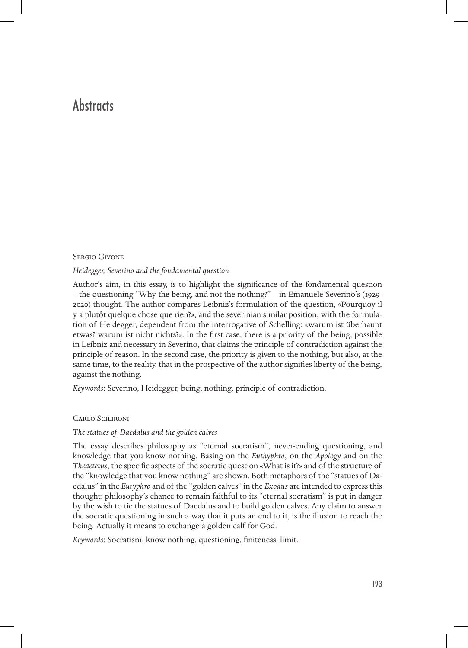# **Abstracts**

#### Sergio Givone

#### *Heidegger, Severino and the fondamental question*

Author's aim, in this essay, is to highlight the significance of the fondamental question – the questioning "Why the being, and not the nothing?" – in Emanuele Severino's (1929-) thought. The author compares Leibniz's formulation of the question, «Pourquoy il y a plutôt quelque chose que rien?», and the severinian similar position, with the formulation of Heidegger, dependent from the interrogative of Schelling: «warum ist überhaupt etwas? warum ist nicht nichts?». In the first case, there is a priority of the being, possible in Leibniz and necessary in Severino, that claims the principle of contradiction against the principle of reason. In the second case, the priority is given to the nothing, but also, at the same time, to the reality, that in the prospective of the author signifies liberty of the being, against the nothing.

*Keywords*: Severino, Heidegger, being, nothing, principle of contradiction.

#### Carlo Scilironi

# *The statues of Daedalus and the golden calves*

The essay describes philosophy as "eternal socratism", never-ending questioning, and knowledge that you know nothing. Basing on the *Euthyphro*, on the *Apology* and on the *Theaetetus*, the specific aspects of the socratic question «What is it?» and of the structure of the "knowledge that you know nothing" are shown. Both metaphors of the "statues of Daedalus" in the *Eutyphro* and of the "golden calves" in the *Exodus* are intended to express this thought: philosophy's chance to remain faithful to its "eternal socratism" is put in danger by the wish to tie the statues of Daedalus and to build golden calves. Any claim to answer the socratic questioning in such a way that it puts an end to it, is the illusion to reach the being. Actually it means to exchange a golden calf for God.

*Keywords*: Socratism, know nothing, questioning, finiteness, limit.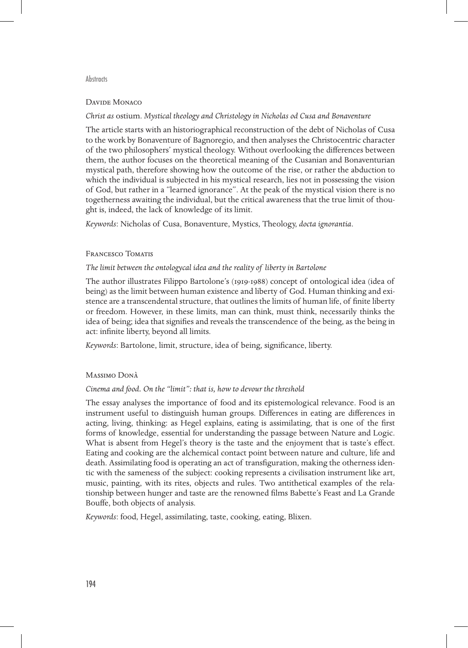#### **Abstracts**

# Davide Monaco

# *Christ as* ostium. *Mystical theology and Christology in Nicholas od Cusa and Bonaventure*

The article starts with an historiographical reconstruction of the debt of Nicholas of Cusa to the work by Bonaventure of Bagnoregio, and then analyses the Christocentric character of the two philosophers' mystical theology. Without overlooking the differences between them, the author focuses on the theoretical meaning of the Cusanian and Bonaventurian mystical path, therefore showing how the outcome of the rise, or rather the abduction to which the individual is subjected in his mystical research, lies not in possessing the vision of God, but rather in a "learned ignorance". At the peak of the mystical vision there is no togetherness awaiting the individual, but the critical awareness that the true limit of thought is, indeed, the lack of knowledge of its limit.

*Keywords*: Nicholas of Cusa, Bonaventure, Mystics, Theology, *docta ignorantia*.

# Francesco Tomatis

# *The limit between the ontologycal idea and the reality of liberty in Bartolone*

The author illustrates Filippo Bartolone's (1919-1988) concept of ontological idea (idea of being) as the limit between human existence and liberty of God. Human thinking and existence are a transcendental structure, that outlines the limits of human life, of finite liberty or freedom. However, in these limits, man can think, must think, necessarily thinks the idea of being; idea that signifies and reveals the transcendence of the being, as the being in act: infinite liberty, beyond all limits.

*Keywords*: Bartolone, limit, structure, idea of being, significance, liberty.

# Massimo Donà

# *Cinema and food. On the "limit": that is, how to devour the threshold*

The essay analyses the importance of food and its epistemological relevance. Food is an instrument useful to distinguish human groups. Differences in eating are differences in acting, living, thinking: as Hegel explains, eating is assimilating, that is one of the first forms of knowledge, essential for understanding the passage between Nature and Logic. What is absent from Hegel's theory is the taste and the enjoyment that is taste's effect. Eating and cooking are the alchemical contact point between nature and culture, life and death. Assimilating food is operating an act of transfiguration, making the otherness identic with the sameness of the subject: cooking represents a civilisation instrument like art, music, painting, with its rites, objects and rules. Two antithetical examples of the relationship between hunger and taste are the renowned films Babette's Feast and La Grande Bouffe, both objects of analysis.

*Keywords*: food, Hegel, assimilating, taste, cooking, eating, Blixen.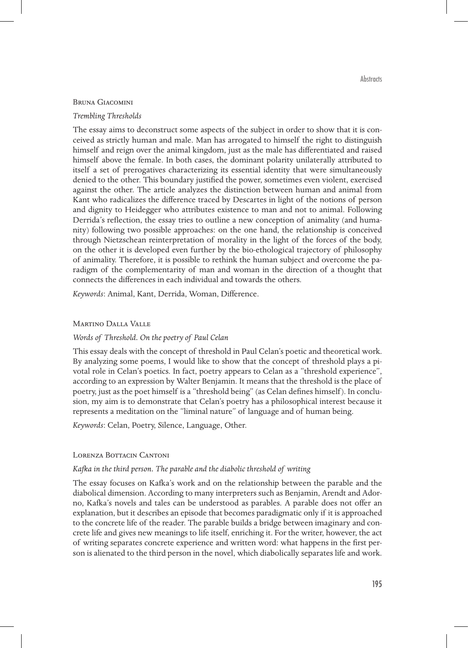#### Bruna Giacomini

#### *Trembling Thresholds*

The essay aims to deconstruct some aspects of the subject in order to show that it is conceived as strictly human and male. Man has arrogated to himself the right to distinguish himself and reign over the animal kingdom, just as the male has differentiated and raised himself above the female. In both cases, the dominant polarity unilaterally attributed to itself a set of prerogatives characterizing its essential identity that were simultaneously denied to the other. This boundary justified the power, sometimes even violent, exercised against the other. The article analyzes the distinction between human and animal from Kant who radicalizes the difference traced by Descartes in light of the notions of person and dignity to Heidegger who attributes existence to man and not to animal. Following Derrida's reflection, the essay tries to outline a new conception of animality (and humanity) following two possible approaches: on the one hand, the relationship is conceived through Nietzschean reinterpretation of morality in the light of the forces of the body, on the other it is developed even further by the bio-ethological trajectory of philosophy of animality. Therefore, it is possible to rethink the human subject and overcome the paradigm of the complementarity of man and woman in the direction of a thought that connects the differences in each individual and towards the others.

*Keywords*: Animal, Kant, Derrida, Woman, Difference.

#### Martino Dalla Valle

# *Words of Threshold. On the poetry of Paul Celan*

This essay deals with the concept of threshold in Paul Celan's poetic and theoretical work. By analyzing some poems, I would like to show that the concept of threshold plays a pivotal role in Celan's poetics. In fact, poetry appears to Celan as a "threshold experience", according to an expression by Walter Benjamin. It means that the threshold is the place of poetry, just as the poet himself is a "threshold being" (as Celan defines himself). In conclusion, my aim is to demonstrate that Celan's poetry has a philosophical interest because it represents a meditation on the "liminal nature" of language and of human being.

*Keywords*: Celan, Poetry, Silence, Language, Other.

# Lorenza Bottacin Cantoni

#### *Kafka in the third person. The parable and the diabolic threshold of writing*

The essay focuses on Kafka's work and on the relationship between the parable and the diabolical dimension. According to many interpreters such as Benjamin, Arendt and Adorno, Kafka's novels and tales can be understood as parables. A parable does not offer an explanation, but it describes an episode that becomes paradigmatic only if it is approached to the concrete life of the reader. The parable builds a bridge between imaginary and concrete life and gives new meanings to life itself, enriching it. For the writer, however, the act of writing separates concrete experience and written word: what happens in the first person is alienated to the third person in the novel, which diabolically separates life and work.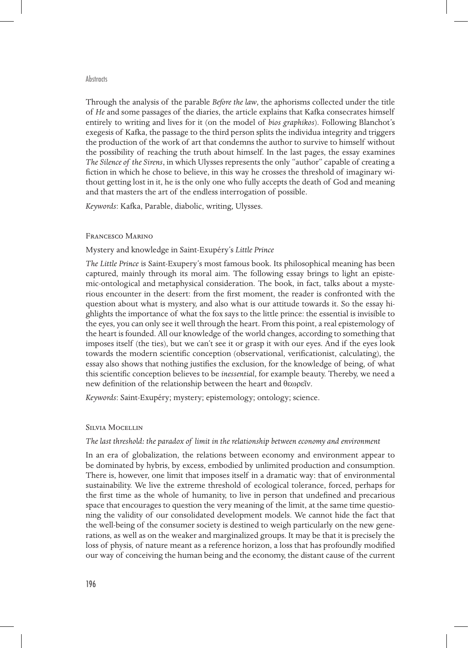#### **Abstracts**

Through the analysis of the parable *Before the law*, the aphorisms collected under the title of *He* and some passages of the diaries, the article explains that Kafka consecrates himself entirely to writing and lives for it (on the model of *bios graphikos*). Following Blanchot's exegesis of Kafka, the passage to the third person splits the individua integrity and triggers the production of the work of art that condemns the author to survive to himself without the possibility of reaching the truth about himself. In the last pages, the essay examines *The Silence of the Sirens*, in which Ulysses represents the only "author" capable of creating a fiction in which he chose to believe, in this way he crosses the threshold of imaginary without getting lost in it, he is the only one who fully accepts the death of God and meaning and that masters the art of the endless interrogation of possible.

*Keywords*: Kafka, Parable, diabolic, writing, Ulysses.

#### Francesco Marino

#### Mystery and knowledge in Saint-Exupéry's *Little Prince*

*The Little Prince* is Saint-Exupery's most famous book. Its philosophical meaning has been captured, mainly through its moral aim. The following essay brings to light an epistemic-ontological and metaphysical consideration. The book, in fact, talks about a mysterious encounter in the desert: from the first moment, the reader is confronted with the question about what is mystery, and also what is our attitude towards it. So the essay highlights the importance of what the fox says to the little prince: the essential is invisible to the eyes, you can only see it well through the heart. From this point, a real epistemology of the heart is founded. All our knowledge of the world changes, according to something that imposes itself (the ties), but we can't see it or grasp it with our eyes. And if the eyes look towards the modern scientific conception (observational, verificationist, calculating), the essay also shows that nothing justifies the exclusion, for the knowledge of being, of what this scientific conception believes to be *inessential*, for example beauty. Thereby, we need a new definition of the relationship between the heart and θεωρεῖν.

*Keywords*: Saint-Exupéry; mystery; epistemology; ontology; science.

#### Silvia Mocellin

# *The last threshold: the paradox of limit in the relationship between economy and environment*

In an era of globalization, the relations between economy and environment appear to be dominated by hybris, by excess, embodied by unlimited production and consumption. There is, however, one limit that imposes itself in a dramatic way: that of environmental sustainability. We live the extreme threshold of ecological tolerance, forced, perhaps for the first time as the whole of humanity, to live in person that undefined and precarious space that encourages to question the very meaning of the limit, at the same time questioning the validity of our consolidated development models. We cannot hide the fact that the well-being of the consumer society is destined to weigh particularly on the new generations, as well as on the weaker and marginalized groups. It may be that it is precisely the loss of physis, of nature meant as a reference horizon, a loss that has profoundly modified our way of conceiving the human being and the economy, the distant cause of the current